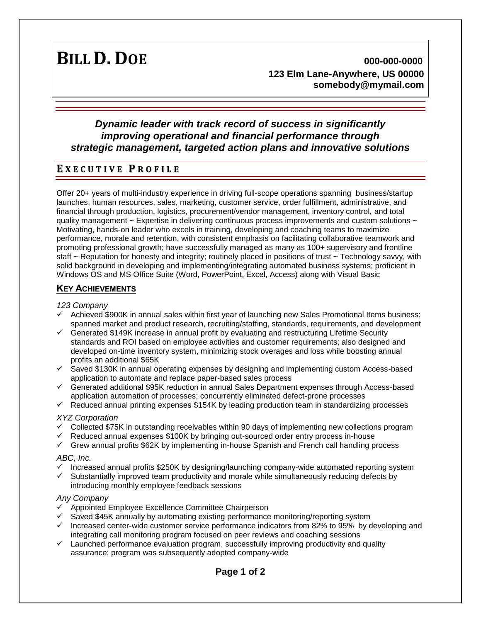**BILL D. DOE 000-000-0000 123 Elm Lane-Anywhere, US 00000 somebody@mymail.com**

# *Dynamic leader with track record of success in significantly improving operational and financial performance through strategic management, targeted action plans and innovative solutions*

# **E X E C U T I V E P R O F I L E**

Offer 20+ years of multi-industry experience in driving full-scope operations spanning business/startup launches, human resources, sales, marketing, customer service, order fulfillment, administrative, and financial through production, logistics, procurement/vendor management, inventory control, and total quality management ~ Expertise in delivering continuous process improvements and custom solutions ~ Motivating, hands-on leader who excels in training, developing and coaching teams to maximize performance, morale and retention, with consistent emphasis on facilitating collaborative teamwork and promoting professional growth; have successfully managed as many as 100+ supervisory and frontline staff ~ Reputation for honesty and integrity; routinely placed in positions of trust ~ Technology savvy, with solid background in developing and implementing/integrating automated business systems; proficient in Windows OS and MS Office Suite (Word, PowerPoint, Excel, Access) along with Visual Basic

### **KEY ACHIEVEMENTS**

#### *123 Company*

- $\checkmark$  Achieved \$900K in annual sales within first year of launching new Sales Promotional Items business; spanned market and product research, recruiting/staffing, standards, requirements, and development
- $\checkmark$  Generated \$149K increase in annual profit by evaluating and restructuring Lifetime Security standards and ROI based on employee activities and customer requirements; also designed and developed on-time inventory system, minimizing stock overages and loss while boosting annual profits an additional \$65K
- $\checkmark$  Saved \$130K in annual operating expenses by designing and implementing custom Access-based application to automate and replace paper-based sales process
- $\checkmark$  Generated additional \$95K reduction in annual Sales Department expenses through Access-based application automation of processes; concurrently eliminated defect-prone processes
- $\checkmark$  Reduced annual printing expenses \$154K by leading production team in standardizing processes

#### *XYZ Corporation*

- $\checkmark$  Collected \$75K in outstanding receivables within 90 days of implementing new collections program
- Reduced annual expenses \$100K by bringing out-sourced order entry process in-house
- $\checkmark$  Grew annual profits \$62K by implementing in-house Spanish and French call handling process

#### *ABC, Inc.*

- $\checkmark$  Increased annual profits \$250K by designing/launching company-wide automated reporting system
- $\checkmark$  Substantially improved team productivity and morale while simultaneously reducing defects by introducing monthly employee feedback sessions

#### *Any Company*

- $\checkmark$  Appointed Employee Excellence Committee Chairperson
- $\checkmark$  Saved \$45K annually by automating existing performance monitoring/reporting system
- $\checkmark$  Increased center-wide customer service performance indicators from 82% to 95% by developing and integrating call monitoring program focused on peer reviews and coaching sessions
- $\checkmark$  Launched performance evaluation program, successfully improving productivity and quality assurance; program was subsequently adopted company-wide